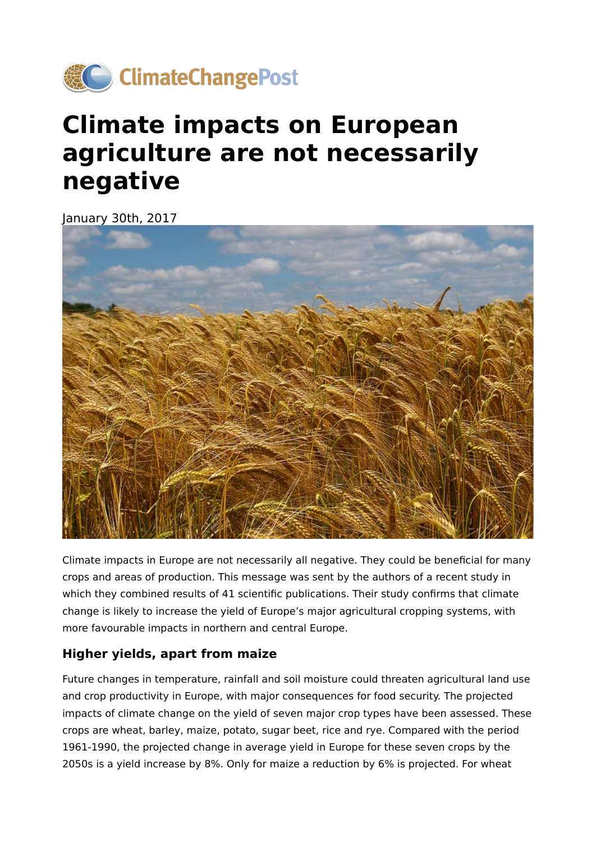

## **Climate impacts on European agriculture are not necessarily negative**

January 30th, 2017



Climate impacts in Europe are not necessarily all negative. They could be beneficial for many crops and areas of production. This message was sent by the authors of a recent study in which they combined results of 41 scientific publications. Their study confirms that climate change is likely to increase the yield of Europe's major agricultural cropping systems, with more favourable impacts in northern and central Europe.

## **Higher yields, apart from maize**

Future changes in temperature, rainfall and soil moisture could threaten agricultural land use and crop productivity in Europe, with major consequences for food security. The projected impacts of climate change on the yield of seven major crop types have been assessed. These crops are wheat, barley, maize, potato, sugar beet, rice and rye. Compared with the period 1961-1990, the projected change in average yield in Europe for these seven crops by the 2050s is a yield increase by 8%. Only for maize a reduction by 6% is projected. For wheat